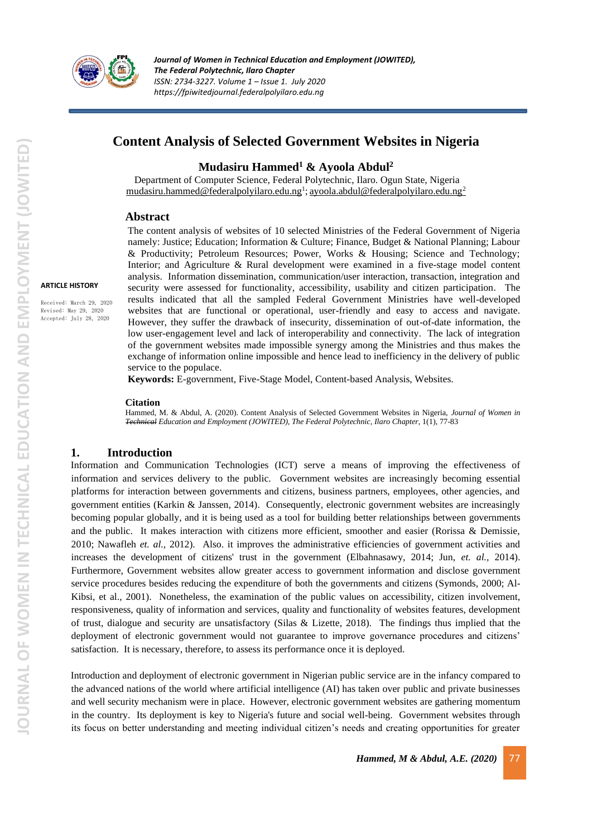

# **Content Analysis of Selected Government Websites in Nigeria**

## **Mudasiru Hammed<sup>1</sup> & Ayoola Abdul<sup>2</sup>**

Department of Computer Science, Federal Polytechnic, Ilaro. Ogun State, Nigeria [mudasiru.hammed@federalpolyilaro.edu.ng](mailto:1mudasiru.hammed@federalpolyilaro.edu.ng)<sup>1</sup>; [ayoola.abdul@federalpolyilaro.edu.ng](mailto:ayoola.abdul@federalpolyilaro.edu.ng)<sup>2</sup>

### **Abstract**

The content analysis of websites of 10 selected Ministries of the Federal Government of Nigeria namely: Justice; Education; Information & Culture; Finance, Budget & National Planning; Labour & Productivity; Petroleum Resources; Power, Works & Housing; Science and Technology; Interior; and Agriculture & Rural development were examined in a five-stage model content analysis. Information dissemination, communication/user interaction, transaction, integration and security were assessed for functionality, accessibility, usability and citizen participation. The results indicated that all the sampled Federal Government Ministries have well-developed websites that are functional or operational, user-friendly and easy to access and navigate. However, they suffer the drawback of insecurity, dissemination of out-of-date information, the low user-engagement level and lack of interoperability and connectivity. The lack of integration of the government websites made impossible synergy among the Ministries and thus makes the exchange of information online impossible and hence lead to inefficiency in the delivery of public service to the populace.

**Keywords:** E-government, Five-Stage Model, Content-based Analysis, Websites.

#### **Citation**

Hammed, M. & Abdul, A. (2020). Content Analysis of Selected Government Websites in Nigeria, *Journal of Women in Technical Education and Employment (JOWITED), The Federal Polytechnic, Ilaro Chapter*, 1(1), 77-83

### **1. Introduction**

Information and Communication Technologies (ICT) serve a means of improving the effectiveness of information and services delivery to the public. Government websites are increasingly becoming essential platforms for interaction between governments and citizens, business partners, employees, other agencies, and government entities (Karkin & Janssen, 2014). Consequently, electronic government websites are increasingly becoming popular globally, and it is being used as a tool for building better relationships between governments and the public. It makes interaction with citizens more efficient, smoother and easier (Rorissa & Demissie, 2010; Nawafleh *et. al.,* 2012). Also. it improves the administrative efficiencies of government activities and increases the development of citizens' trust in the government (Elbahnasawy, 2014; Jun, *et. al.,* 2014). Furthermore, Government websites allow greater access to government information and disclose government service procedures besides reducing the expenditure of both the governments and citizens (Symonds, 2000; Al-Kibsi, et al., 2001). Nonetheless, the examination of the public values on accessibility, citizen involvement, responsiveness, quality of information and services, quality and functionality of websites features, development of trust, dialogue and security are unsatisfactory (Silas & Lizette, 2018). The findings thus implied that the deployment of electronic government would not guarantee to improve governance procedures and citizens' satisfaction. It is necessary, therefore, to assess its performance once it is deployed.

Introduction and deployment of electronic government in Nigerian public service are in the infancy compared to the advanced nations of the world where artificial intelligence (AI) has taken over public and private businesses and well security mechanism were in place. However, electronic government websites are gathering momentum in the country. Its deployment is key to Nigeria's future and social well-being. Government websites through its focus on better understanding and meeting individual citizen's needs and creating opportunities for greater

Received: March 29, 2020 Revised: May 29, 2020 Accepted: July 28, 2020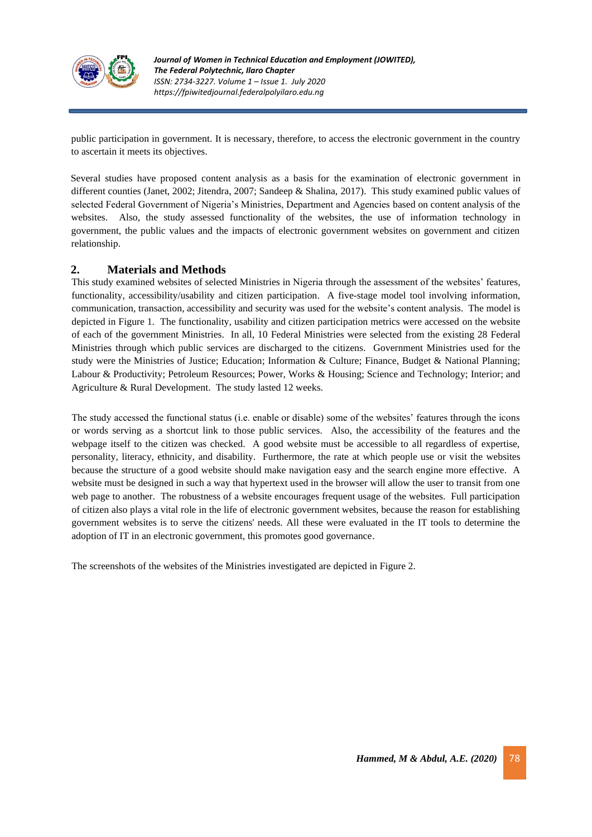

public participation in government. It is necessary, therefore, to access the electronic government in the country to ascertain it meets its objectives.

Several studies have proposed content analysis as a basis for the examination of electronic government in different counties (Janet, 2002; Jitendra, 2007; Sandeep & Shalina, 2017). This study examined public values of selected Federal Government of Nigeria's Ministries, Department and Agencies based on content analysis of the websites. Also, the study assessed functionality of the websites, the use of information technology in government, the public values and the impacts of electronic government websites on government and citizen relationship.

## **2. Materials and Methods**

This study examined websites of selected Ministries in Nigeria through the assessment of the websites' features, functionality, accessibility/usability and citizen participation. A five-stage model tool involving information, communication, transaction, accessibility and security was used for the website's content analysis. The model is depicted in Figure 1. The functionality, usability and citizen participation metrics were accessed on the website of each of the government Ministries. In all, 10 Federal Ministries were selected from the existing 28 Federal Ministries through which public services are discharged to the citizens. Government Ministries used for the study were the Ministries of Justice; Education; Information & Culture; Finance, Budget & National Planning; Labour & Productivity; Petroleum Resources; Power, Works & Housing; Science and Technology; Interior; and Agriculture & Rural Development. The study lasted 12 weeks.

The study accessed the functional status (i.e. enable or disable) some of the websites' features through the icons or words serving as a shortcut link to those public services. Also, the accessibility of the features and the webpage itself to the citizen was checked. A good website must be accessible to all regardless of expertise, personality, literacy, ethnicity, and disability. Furthermore, the rate at which people use or visit the websites because the structure of a good website should make navigation easy and the search engine more effective. A website must be designed in such a way that hypertext used in the browser will allow the user to transit from one web page to another. The robustness of a website encourages frequent usage of the websites. Full participation of citizen also plays a vital role in the life of electronic government websites, because the reason for establishing government websites is to serve the citizens' needs. All these were evaluated in the IT tools to determine the adoption of IT in an electronic government, this promotes good governance.

The screenshots of the websites of the Ministries investigated are depicted in Figure 2.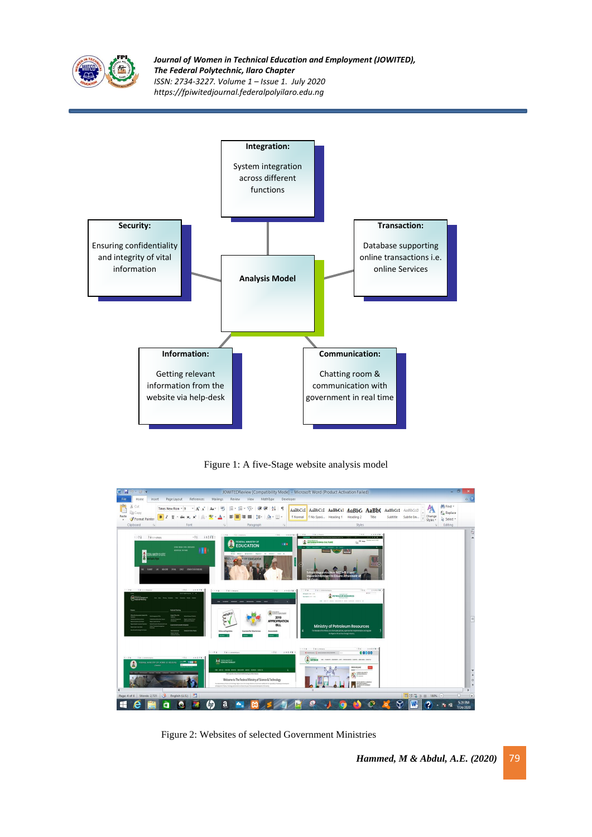

*Journal of Women in Technical Education and Employment (JOWITED), The Federal Polytechnic, Ilaro Chapter ISSN: 2734-3227. Volume 1 – Issue 1. July 2020 https://fpiwitedjournal.federalpolyilaro.edu.ng*



Figure 1: A five-Stage website analysis model



Figure 2: Websites of selected Government Ministries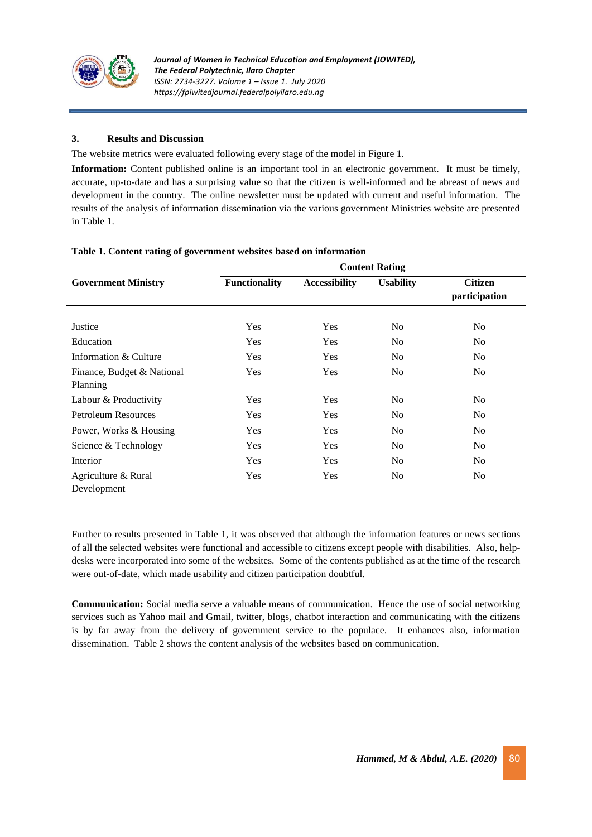

## **3. Results and Discussion**

The website metrics were evaluated following every stage of the model in Figure 1.

**Information:** Content published online is an important tool in an electronic government. It must be timely, accurate, up-to-date and has a surprising value so that the citizen is well-informed and be abreast of news and development in the country. The online newsletter must be updated with current and useful information. The results of the analysis of information dissemination via the various government Ministries website are presented in Table 1.

| <b>Government Ministry</b>             | <b>Content Rating</b> |                      |                  |                                 |
|----------------------------------------|-----------------------|----------------------|------------------|---------------------------------|
|                                        | <b>Functionality</b>  | <b>Accessibility</b> | <b>Usability</b> | <b>Citizen</b><br>participation |
| Justice                                | Yes                   | Yes                  | N <sub>0</sub>   | N <sub>o</sub>                  |
| Education                              | <b>Yes</b>            | Yes                  | N <sub>0</sub>   | N <sub>o</sub>                  |
| Information & Culture                  | <b>Yes</b>            | Yes                  | N <sub>0</sub>   | No.                             |
| Finance, Budget & National<br>Planning | Yes                   | Yes                  | N <sub>0</sub>   | N <sub>o</sub>                  |
| Labour & Productivity                  | Yes                   | Yes                  | N <sub>0</sub>   | N <sub>o</sub>                  |
| <b>Petroleum Resources</b>             | <b>Yes</b>            | Yes                  | N <sub>0</sub>   | N <sub>o</sub>                  |
| Power, Works & Housing                 | Yes                   | Yes                  | No               | N <sub>o</sub>                  |
| Science & Technology                   | Yes                   | Yes                  | N <sub>0</sub>   | No                              |
| Interior                               | Yes                   | Yes                  | N <sub>0</sub>   | N <sub>o</sub>                  |
| Agriculture & Rural<br>Development     | Yes                   | Yes                  | N <sub>0</sub>   | No                              |

### **Table 1. Content rating of government websites based on information**

Further to results presented in Table 1, it was observed that although the information features or news sections of all the selected websites were functional and accessible to citizens except people with disabilities. Also, helpdesks were incorporated into some of the websites. Some of the contents published as at the time of the research were out-of-date, which made usability and citizen participation doubtful.

**Communication:** Social media serve a valuable means of communication. Hence the use of social networking services such as Yahoo mail and Gmail, twitter, blogs, chatbot interaction and communicating with the citizens is by far away from the delivery of government service to the populace. It enhances also, information dissemination. Table 2 shows the content analysis of the websites based on communication.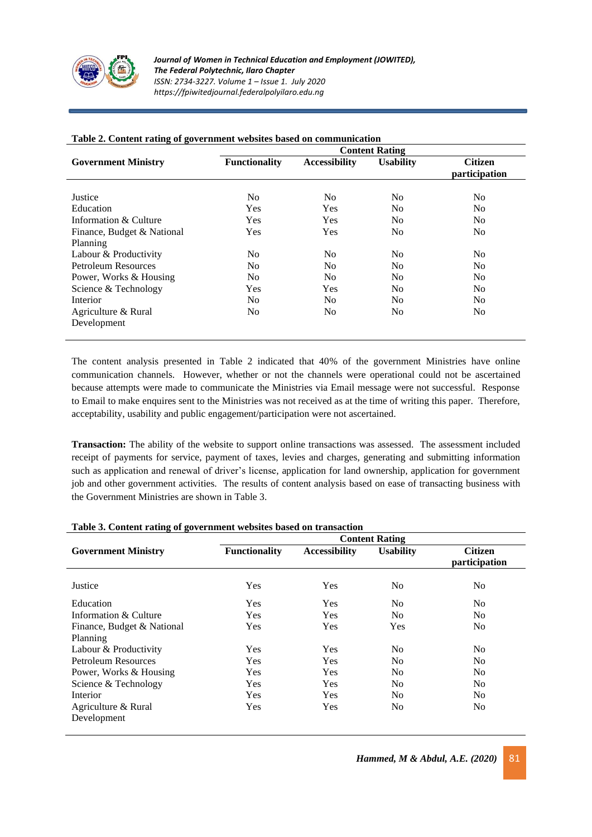

|                            | <b>Content Rating</b> |                      |                  |                                 |  |
|----------------------------|-----------------------|----------------------|------------------|---------------------------------|--|
| <b>Government Ministry</b> | <b>Functionality</b>  | <b>Accessibility</b> | <b>Usability</b> | <b>Citizen</b><br>participation |  |
| Justice                    | No.                   | No                   | No               | N <sub>0</sub>                  |  |
| Education                  | Yes                   | <b>Yes</b>           | N <sub>0</sub>   | N <sub>0</sub>                  |  |
| Information $\&$ Culture   | <b>Yes</b>            | <b>Yes</b>           | N <sub>0</sub>   | N <sub>0</sub>                  |  |
| Finance, Budget & National | Yes                   | Yes                  | N <sub>0</sub>   | N <sub>0</sub>                  |  |
| Planning                   |                       |                      |                  |                                 |  |
| Labour & Productivity      | No.                   | No.                  | N <sub>0</sub>   | N <sub>0</sub>                  |  |
| Petroleum Resources        | No.                   | No.                  | N <sub>0</sub>   | N <sub>0</sub>                  |  |
| Power, Works & Housing     | No.                   | No.                  | N <sub>0</sub>   | N <sub>0</sub>                  |  |
| Science & Technology       | Yes                   | <b>Yes</b>           | N <sub>0</sub>   | N <sub>0</sub>                  |  |
| Interior                   | No.                   | No.                  | N <sub>0</sub>   | N <sub>0</sub>                  |  |
| Agriculture & Rural        | No.                   | No.                  | N <sub>0</sub>   | N <sub>0</sub>                  |  |
| Development                |                       |                      |                  |                                 |  |

## **Table 2. Content rating of government websites based on communication**

The content analysis presented in Table 2 indicated that 40% of the government Ministries have online communication channels. However, whether or not the channels were operational could not be ascertained because attempts were made to communicate the Ministries via Email message were not successful. Response to Email to make enquires sent to the Ministries was not received as at the time of writing this paper. Therefore, acceptability, usability and public engagement/participation were not ascertained.

**Transaction:** The ability of the website to support online transactions was assessed. The assessment included receipt of payments for service, payment of taxes, levies and charges, generating and submitting information such as application and renewal of driver's license, application for land ownership, application for government job and other government activities. The results of content analysis based on ease of transacting business with the Government Ministries are shown in Table 3.

|                                    | <b>Content Rating</b> |                      |                  |                                 |  |  |
|------------------------------------|-----------------------|----------------------|------------------|---------------------------------|--|--|
| <b>Government Ministry</b>         | <b>Functionality</b>  | <b>Accessibility</b> | <b>Usability</b> | <b>Citizen</b><br>participation |  |  |
| Justice                            | Yes                   | Yes                  | No               | N <sub>0</sub>                  |  |  |
| Education                          | Yes                   | Yes                  | N <sub>0</sub>   | N <sub>o</sub>                  |  |  |
| Information & Culture              | Yes                   | Yes                  | N <sub>0</sub>   | N <sub>o</sub>                  |  |  |
| Finance, Budget & National         | Yes                   | Yes                  | Yes              | N <sub>0</sub>                  |  |  |
| Planning                           |                       |                      |                  |                                 |  |  |
| Labour & Productivity              | Yes                   | Yes                  | No               | N <sub>0</sub>                  |  |  |
| Petroleum Resources                | Yes                   | Yes                  | N <sub>0</sub>   | N <sub>o</sub>                  |  |  |
| Power, Works & Housing             | Yes                   | Yes                  | N <sub>0</sub>   | N <sub>0</sub>                  |  |  |
| Science & Technology               | Yes                   | Yes                  | No               | N <sub>0</sub>                  |  |  |
| Interior                           | Yes                   | <b>Yes</b>           | N <sub>0</sub>   | N <sub>o</sub>                  |  |  |
| Agriculture & Rural<br>Development | Yes                   | Yes                  | No               | N <sub>0</sub>                  |  |  |

### **Table 3. Content rating of government websites based on transaction**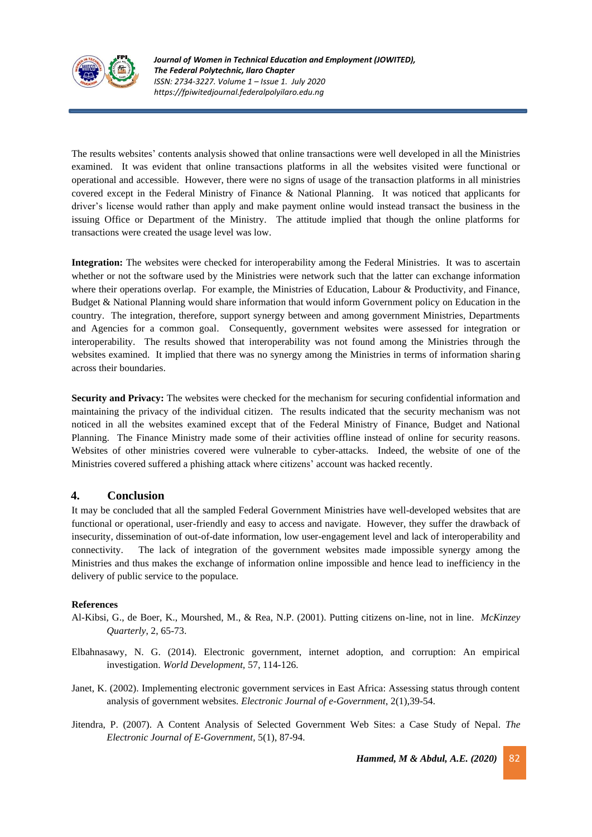

The results websites' contents analysis showed that online transactions were well developed in all the Ministries examined. It was evident that online transactions platforms in all the websites visited were functional or operational and accessible. However, there were no signs of usage of the transaction platforms in all ministries covered except in the Federal Ministry of Finance & National Planning. It was noticed that applicants for driver's license would rather than apply and make payment online would instead transact the business in the issuing Office or Department of the Ministry. The attitude implied that though the online platforms for transactions were created the usage level was low.

**Integration:** The websites were checked for interoperability among the Federal Ministries. It was to ascertain whether or not the software used by the Ministries were network such that the latter can exchange information where their operations overlap. For example, the Ministries of Education, Labour & Productivity, and Finance, Budget & National Planning would share information that would inform Government policy on Education in the country. The integration, therefore, support synergy between and among government Ministries, Departments and Agencies for a common goal. Consequently, government websites were assessed for integration or interoperability. The results showed that interoperability was not found among the Ministries through the websites examined. It implied that there was no synergy among the Ministries in terms of information sharing across their boundaries.

**Security and Privacy:** The websites were checked for the mechanism for securing confidential information and maintaining the privacy of the individual citizen. The results indicated that the security mechanism was not noticed in all the websites examined except that of the Federal Ministry of Finance, Budget and National Planning. The Finance Ministry made some of their activities offline instead of online for security reasons. Websites of other ministries covered were vulnerable to cyber-attacks. Indeed, the website of one of the Ministries covered suffered a phishing attack where citizens' account was hacked recently.

## **4. Conclusion**

It may be concluded that all the sampled Federal Government Ministries have well-developed websites that are functional or operational, user-friendly and easy to access and navigate. However, they suffer the drawback of insecurity, dissemination of out-of-date information, low user-engagement level and lack of interoperability and connectivity. The lack of integration of the government websites made impossible synergy among the Ministries and thus makes the exchange of information online impossible and hence lead to inefficiency in the delivery of public service to the populace.

### **References**

- Al-Kibsi, G., de Boer, K., Mourshed, M., & Rea, N.P. (2001). Putting citizens on-line, not in line. *McKinzey Quarterly*, 2, 65-73.
- Elbahnasawy, N. G. (2014). Electronic government, internet adoption, and corruption: An empirical investigation. *World Development,* 57, 114-126.
- Janet, K. (2002). Implementing electronic government services in East Africa: Assessing status through content analysis of government websites. *Electronic Journal of e-Government*, 2(1),39-54.
- Jitendra, P. (2007). A Content Analysis of Selected Government Web Sites: a Case Study of Nepal. *The Electronic Journal of E-Government,* 5(1), 87-94.